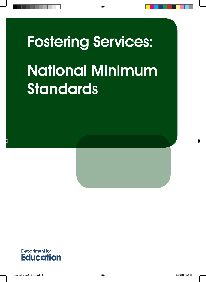# Fostering Services: National Minimum **Standards**



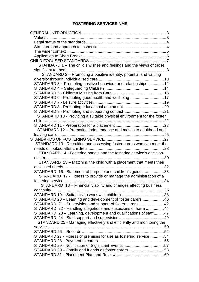## **FOSTERING SERVICES NMS**

| STANDARD 1 - The child's wishes and feelings and the views of those    |     |
|------------------------------------------------------------------------|-----|
|                                                                        |     |
| STANDARD 2 - Promoting a positive identity, potential and valuing      |     |
|                                                                        |     |
| STANDARD 3 - Promoting positive behaviour and relationships  12        |     |
|                                                                        |     |
|                                                                        |     |
| STANDARD 6 - Promoting good health and wellbeing 17                    |     |
|                                                                        |     |
|                                                                        |     |
|                                                                        |     |
| STANDARD 10 - Providing a suitable physical environment for the foster |     |
| child                                                                  |     |
|                                                                        |     |
| STANDARD 12 - Promoting independence and moves to adulthood and        |     |
|                                                                        |     |
|                                                                        |     |
| STANDARD 13 - Recruiting and assessing foster carers who can meet the  |     |
|                                                                        |     |
| STANDARD 14 - Fostering panels and the fostering service's decision-   |     |
|                                                                        |     |
| STANDARD 15 - Matching the child with a placement that meets their     |     |
|                                                                        |     |
| STANDARD 16 - Statement of purpose and children's guide 33             |     |
| STANDARD 17 - Fitness to provide or manage the administration of a     |     |
|                                                                        | .34 |
| STANDARD 18 - Financial viability and changes affecting business       |     |
|                                                                        |     |
|                                                                        |     |
| STANDARD 20 - Learning and development of foster carers  40            |     |
| STANDARD 21 - Supervision and support of foster carers42               |     |
| STANDARD 22 - Handling allegations and suspicions of harm  44          |     |
| STANDARD 23 – Learning, development and qualifications of staff47      |     |
|                                                                        |     |
| STANDARD 25 - Managing effectively and efficiently and monitoring the  |     |
|                                                                        |     |
|                                                                        |     |
| STANDARD 27 - Fitness of premises for use as fostering service54       |     |
|                                                                        |     |
|                                                                        |     |
| STANDARD 30 - Family and friends as foster carers58                    |     |
|                                                                        |     |
|                                                                        |     |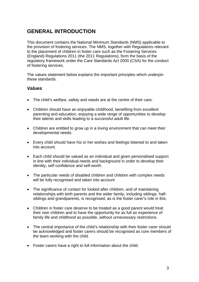# <span id="page-2-0"></span>**GENERAL INTRODUCTION**

This document contains the National Minimum Standards (NMS) applicable to the provision of fostering services. The NMS, together with Regulations relevant to the placement of children in foster care such as the Fostering Services (England) Regulations 2011 (the 2011 Regulations), form the basis of the regulatory framework under the Care Standards Act 2000 (CSA) for the conduct of fostering services.

The values statement below explains the important principles which underpin these standards.

# <span id="page-2-1"></span>*Values*

- The child's welfare, safety and needs are at the centre of their care.
- Children should have an enjoyable childhood, benefiting from excellent parenting and education, enjoying a wide range of opportunities to develop their talents and skills leading to a successful adult life.
- Children are entitled to grow up in a loving environment that can meet their developmental needs.
- Every child should have his or her wishes and feelings listened to and taken into account.
- Each child should be valued as an individual and given personalised support in line with their individual needs and background in order to develop their identity, self confidence and self-worth.
- The particular needs of disabled children and children with complex needs will be fully recognised and taken into account
- The significance of contact for looked after children, and of maintaining relationships with birth parents and the wider family, including siblings, halfsiblings and grandparents, is recognised, as is the foster carer's role in this.
- Children in foster care deserve to be treated as a good parent would treat their own children and to have the opportunity for as full an experience of family life and childhood as possible, without unnecessary restrictions.
- The central importance of the child's relationship with their foster carer should be acknowledged and foster carers should be recognised as core members of the team working with the child.
- Foster carers have a right to full information about the child.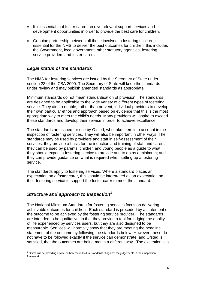- It is essential that foster carers receive relevant support services and development opportunities in order to provide the best care for children.
- Genuine partnership between all those involved in fostering children is essential for the NMS to deliver the best outcomes for children; this includes the Government, local government, other statutory agencies, fostering service providers and foster carers.

# <span id="page-3-0"></span>*Legal status of the standards*

The NMS for fostering services are issued by the Secretary of State under section 23 of the CSA 2000. The Secretary of State will keep the standards under review and may publish amended standards as appropriate.

Minimum standards do not mean standardisation of provision. The standards are designed to be applicable to the wide variety of different types of fostering service. They aim to enable, rather than prevent, individual providers to develop their own particular ethos and approach based on evidence that this is the most appropriate way to meet the child's needs. Many providers will aspire to exceed these standards and develop their service in order to achieve excellence.

The standards are issued for use by Ofsted, who take them into account in the inspection of fostering services. They will also be important in other ways. The standards may be used by providers and staff in self-assessment of their services; they provide a basis for the induction and training of staff and carers; they can be used by parents, children and young people as a guide to what they should expect a fostering service to provide and to do as a minimum; and they can provide guidance on what is required when setting up a fostering service.

The standards apply to fostering services. Where a standard places an expectation on a foster carer, this should be interpreted as an expectation on their fostering service to support the foster carer to meet the standard.

# <span id="page-3-1"></span>*Structure and approach to inspection[1](#page-3-2)*

1

The National Minimum Standards for fostering services focus on delivering achievable outcomes for children. Each standard is preceded by a statement of the outcome to be achieved by the fostering service provider. The standards are intended to be qualitative, in that they provide a tool for judging the quality of life experienced by services users, but they are also designed to be measurable. Services will normally show that they are meeting the headline statement of the outcome by following the standards below. However, these do not have to be followed exactly if the service can demonstrate, and Ofsted is satisfied, that the outcomes are being met in a different way. The exception is a

<span id="page-3-2"></span><sup>&</sup>lt;sup>1</sup> Ofsted will be providing advice on how the individual standards fit against the judgements in their inspection framework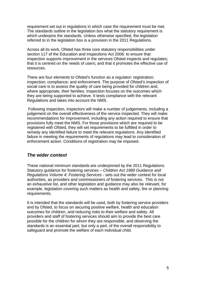requirement set out in regulations in which case the requirement must be met. The standards outline in the legislation box what the statutory requirement is which underpins the standards. Unless otherwise specified, the legislation referred to in the legislation box is a provision in the 2011 Regulations.

Across all its work, Ofsted has three core statutory responsibilities under section 117 of the Education and Inspections Act 2006: to ensure that inspection supports improvement in the services Ofsted inspects and regulates; that it is centred on the needs of users; and that it promotes the effective use of resources.

There are four elements to Ofsted's function as a regulator: registration; inspection; compliance; and enforcement. The purpose of Ofsted's inspection of social care is to assess the quality of care being provided for children and, where appropriate, their families. Inspection focuses on the outcomes which they are being supported to achieve. It tests compliance with the relevant Regulations and takes into account the NMS.

 Following inspection, inspectors will make a number of judgements, including a judgement on the overall effectiveness of the service inspected. They will make recommendations for improvement, including any action required to ensure that provisions fully meet the NMS. For those provisions which are required to be registered with Ofsted, they will set requirements to be fulfilled in order to remedy any identified failure to meet the relevant regulations. Any identified failure in meeting the requirements of regulations may lead to consideration of enforcement action. Conditions of registration may be imposed.

# <span id="page-4-0"></span>*The wider context*

These national minimum standards are underpinned by the 2011 Regulations. Statutory guidance for fostering services – *Children Act 1989 Guidance and Regulations Volume 4: Fostering Services* - sets out the wider context for local authorities, as providers and commissioners of fostering services. This is not an exhaustive list, and other legislation and guidance may also be relevant, for example, legislation covering such matters as health and safety, fire or planning requirements.

It is intended that the standards will be used, both by fostering service providers and by Ofsted, to focus on securing positive welfare, health and education outcomes for children, and reducing risks to their welfare and safety. All providers and staff of fostering services should aim to provide the best care possible for the children for whom they are responsible, and observing the standards is an essential part, but only a part, of the overall responsibility to safeguard and promote the welfare of each individual child.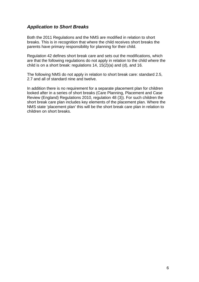# <span id="page-5-0"></span>*Application to Short Breaks*

Both the 2011 Regulations and the NMS are modified in relation to short breaks. This is in recognition that where the child receives short breaks the parents have primary responsibility for planning for their child.

Regulation 42 defines short break care and sets out the modifications, which are that the following regulations do not apply in relation to the child where the child is on a short break: regulations 14, 15(2)(a) and (d), and 16.

The following NMS do not apply in relation to short break care: standard 2.5, 2.7 and all of standard nine and twelve.

In addition there is no requirement for a separate placement plan for children looked after in a series of short breaks (Care Planning, Placement and Case Review (England) Regulations 2010, regulation 48 (3)). For such children the short break care plan includes key elements of the placement plan. Where the NMS state 'placement plan' this will be the short break care plan in relation to children on short breaks.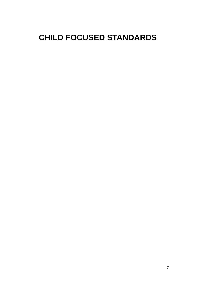# <span id="page-6-0"></span>**CHILD FOCUSED STANDARDS**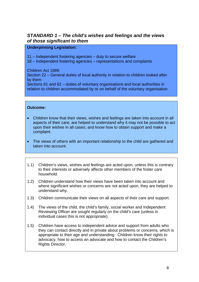# <span id="page-7-0"></span>*STANDARD 1 – The child's wishes and feelings and the views of those significant to them*

#### **Underpinning Legislation:**

11 – Independent fostering agencies – duty to secure welfare

18 – Independent fostering agencies – representations and complaints

Children Act 1989:

Section 22 – General duties of local authority in relation to children looked after by them

Sections 61 and 62 – duties of voluntary organisations and local authorities in relation to children accommodated by or on behalf of the voluntary organisation

- Children know that their views, wishes and feelings are taken into account in all aspects of their care; are helped to understand why it may not be possible to act upon their wishes in all cases; and know how to obtain support and make a complaint.
- The views of others with an important relationship to the child are gathered and taken into account.
- 1.1) Children's views, wishes and feelings are acted upon, unless this is contrary to their interests or adversely affects other members of the foster care household.
- 1.2) Children understand how their views have been taken into account and where significant wishes or concerns are not acted upon, they are helped to understand why.
- 1.3) Children communicate their views on all aspects of their care and support.
- 1.4) The views of the child, the child's family, social worker and Independent Reviewing Officer are sought regularly on the child's care (unless in individual cases this is not appropriate).
- 1.5) Children have access to independent advice and support from adults who they can contact directly and in private about problems or concerns, which is appropriate to their age and understanding. Children know their rights to advocacy, how to access an advocate and how to contact the Children's Rights Director.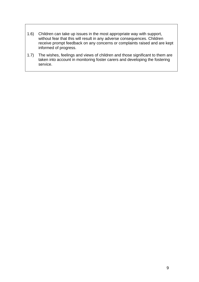- 1.6) Children can take up issues in the most appropriate way with support, without fear that this will result in any adverse consequences. Children receive prompt feedback on any concerns or complaints raised and are kept informed of progress.
- 1.7) The wishes, feelings and views of children and those significant to them are taken into account in monitoring foster carers and developing the fostering service.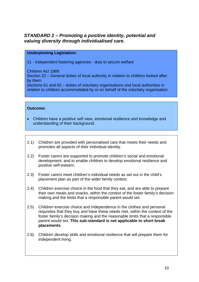# <span id="page-9-0"></span>*STANDARD 2 – Promoting a positive identity, potential and valuing diversity through individualised care.*

#### **Underpinning Legislation:**

11 - Independent fostering agencies - duty to secure welfare

Children Act 1989:

Section 22 – General duties of local authority in relation to children looked after by them

Sections 61 and 62 – duties of voluntary organisations and local authorities in relation to children accommodated by or on behalf of the voluntary organisation

- Children have a positive self view, emotional resilience and knowledge and understanding of their background.
- 2.1) Children are provided with personalised care that meets their needs and promotes all aspects of their individual identity.
- 2.2) Foster carers are supported to promote children's social and emotional development, and to enable children to develop emotional resilience and positive self-esteem.
- 2.3) Foster carers meet children's individual needs as set out in the child's placement plan as part of the wider family context.
- 2.4) Children exercise choice in the food that they eat, and are able to prepare their own meals and snacks, within the context of the foster family's decision making and the limits that a responsible parent would set.
- 2.5) Children exercise choice and independence in the clothes and personal requisites that they buy and have these needs met, within the context of the foster family's decision making and the reasonable limits that a responsible parent would set. **This sub-standard is not applicable to short break placements**.
- 2.6) Children develop skills and emotional resilience that will prepare them for independent living.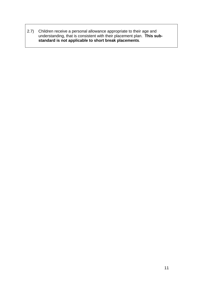2.7) Children receive a personal allowance appropriate to their age and understanding, that is consistent with their placement plan. **This substandard is not applicable to short break placements**.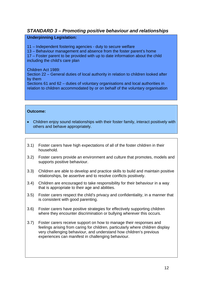# <span id="page-11-0"></span>*STANDARD 3 – Promoting positive behaviour and relationships*

#### **Underpinning Legislation:**

- 11 Independent fostering agencies duty to secure welfare
- 13 Behaviour management and absence from the foster parent's home

17 – Foster parent to be provided with up to date information about the child including the child's care plan

#### Children Act 1989:

Section 22 – General duties of local authority in relation to children looked after by them

Sections 61 and 62 – duties of voluntary organisations and local authorities in relation to children accommodated by or on behalf of the voluntary organisation

- Children enjoy sound relationships with their foster family, interact positively with others and behave appropriately.
- 3.1) Foster carers have high expectations of all of the foster children in their household.
- 3.2) Foster carers provide an environment and culture that promotes, models and supports positive behaviour.
- 3.3) Children are able to develop and practice skills to build and maintain positive relationships, be assertive and to resolve conflicts positively.
- 3.4) Children are encouraged to take responsibility for their behaviour in a way that is appropriate to their age and abilities.
- 3.5) Foster carers respect the child's privacy and confidentiality, in a manner that is consistent with good parenting.
- 3.6) Foster carers have positive strategies for effectively supporting children where they encounter discrimination or bullying wherever this occurs.
- 3.7) Foster carers receive support on how to manage their responses and feelings arising from caring for children, particularly where children display very challenging behaviour, and understand how children's previous experiences can manifest in challenging behaviour.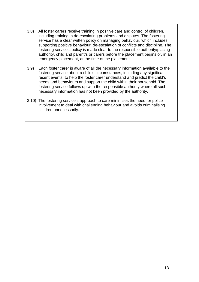- 3.8) All foster carers receive training in positive care and control of children, including training in de-escalating problems and disputes. The fostering service has a clear written policy on managing behaviour, which includes supporting positive behaviour, de-escalation of conflicts and discipline. The fostering service's policy is made clear to the responsible authority/placing authority, child and parent/s or carers before the placement begins or, in an emergency placement, at the time of the placement.
- 3.9) Each foster carer is aware of all the necessary information available to the fostering service about a child's circumstances, including any significant recent events, to help the foster carer understand and predict the child's needs and behaviours and support the child within their household. The fostering service follows up with the responsible authority where all such necessary information has not been provided by the authority.
- 3.10) The fostering service's approach to care minimises the need for police involvement to deal with challenging behaviour and avoids criminalising children unnecessarily.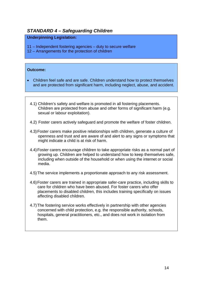# <span id="page-13-0"></span>*STANDARD 4 – Safeguarding Children*

#### **Underpinning Legislation:**

11 – Independent fostering agencies – duty to secure welfare

12 – Arrangements for the protection of children

- Children feel safe and are safe. Children understand how to protect themselves and are protected from significant harm, including neglect, abuse, and accident.
	- 4.1) Children's safety and welfare is promoted in all fostering placements. Children are protected from abuse and other forms of significant harm (e.g. sexual or labour exploitation).
	- 4.2) Foster carers actively safeguard and promote the welfare of foster children.
	- 4.3) Foster carers make positive relationships with children, generate a culture of openness and trust and are aware of and alert to any signs or symptoms that might indicate a child is at risk of harm.
	- 4.4) Foster carers encourage children to take appropriate risks as a normal part of growing up. Children are helped to understand how to keep themselves safe, including when outside of the household or when using the internet or social media.
	- 4.5) The service implements a proportionate approach to any risk assessment.
	- 4.6) Foster carers are trained in appropriate safer-care practice, including skills to care for children who have been abused. For foster carers who offer placements to disabled children, this includes training specifically on issues affecting disabled children.
	- 4.7) The fostering service works effectively in partnership with other agencies concerned with child protection, e.g. the responsible authority, schools, hospitals, general practitioners, etc., and does not work in isolation from them.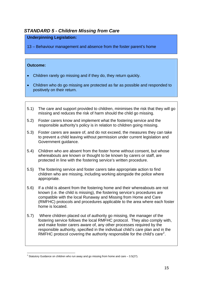# <span id="page-14-0"></span>*STANDARD 5 - Children Missing from Care*

#### **Underpinning Legislation:**

13 – Behaviour management and absence from the foster parent's home

- Children rarely go missing and if they do, they return quickly.
- Children who do go missing are protected as far as possible and responded to positively on their return.
- 5.1) The care and support provided to children, minimises the risk that they will go missing and reduces the risk of harm should the child go missing.
- 5.2) Foster carers know and implement what the fostering service and the responsible authority's policy is in relation to children going missing.
- 5.3) Foster carers are aware of, and do not exceed, the measures they can take to prevent a child leaving without permission under current legislation and Government guidance.
- 5.4) Children who are absent from the foster home without consent, but whose whereabouts are known or thought to be known by carers or staff, are protected in line with the fostering service's written procedure.
- 5.5) The fostering service and foster carers take appropriate action to find children who are missing, including working alongside the police where appropriate.
- 5.6) If a child is absent from the fostering home and their whereabouts are not known (i.e. the child is missing), the fostering service's procedures are compatible with the local Runaway and Missing from Home and Care (RMFHC) protocols and procedures applicable to the area where each foster home is located.
- 5.7) Where children placed out of authority go missing, the manager of the fostering service follows the local RMFHC protocol. They also comply with, and make foster carers aware of, any other processes required by the responsible authority, specified in the individual child's care plan and in the RMFHC protocol covering the authority responsible for the child's care<sup>[2](#page-14-1)</sup>.

<span id="page-14-1"></span> 2 Statutory Guidance on children who run away and go missing from home and care – 3.5(27).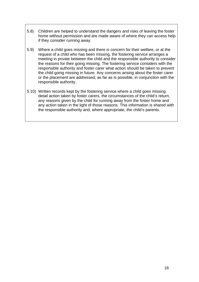- 5.8) Children are helped to understand the dangers and risks of leaving the foster home without permission and are made aware of where they can access help if they consider running away.
- 5.9) Where a child goes missing and there is concern for their welfare, or at the request of a child who has been missing, the fostering service arranges a meeting in private between the child and the responsible authority to consider the reasons for their going missing. The fostering service considers with the responsible authority and foster carer what action should be taken to prevent the child going missing in future. Any concerns arising about the foster carer or the placement are addressed, as far as is possible, in conjunction with the responsible authority.
- 5.10) Written records kept by the fostering service where a child goes missing detail action taken by foster carers, the circumstances of the child's return, any reasons given by the child for running away from the foster home and any action taken in the light of those reasons. This information is shared with the responsible authority and, where appropriate, the child's parents.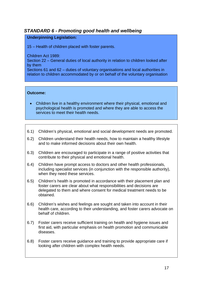# <span id="page-16-0"></span>*STANDARD 6 - Promoting good health and wellbeing*

#### **Underpinning Legislation:**

15 – Health of children placed with foster parents.

Children Act 1989:

Section 22 – General duties of local authority in relation to children looked after by them

Sections 61 and 62 – duties of voluntary organisations and local authorities in relation to children accommodated by or on behalf of the voluntary organisation

- Children live in a healthy environment where their physical, emotional and psychological health is promoted and where they are able to access the services to meet their health needs.
- 6.1) Children's physical, emotional and social development needs are promoted.
- 6.2) Children understand their health needs, how to maintain a healthy lifestyle and to make informed decisions about their own health.
- 6.3) Children are encouraged to participate in a range of positive activities that contribute to their physical and emotional health.
- 6.4) Children have prompt access to doctors and other health professionals, including specialist services (in conjunction with the responsible authority), when they need these services.
- 6.5) Children's health is promoted in accordance with their placement plan and foster carers are clear about what responsibilities and decisions are delegated to them and where consent for medical treatment needs to be obtained.
- 6.6) Children's wishes and feelings are sought and taken into account in their health care, according to their understanding, and foster carers advocate on behalf of children.
- 6.7) Foster carers receive sufficient training on health and hygiene issues and first aid, with particular emphasis on health promotion and communicable diseases.
- 6.8) Foster carers receive guidance and training to provide appropriate care if looking after children with complex health needs.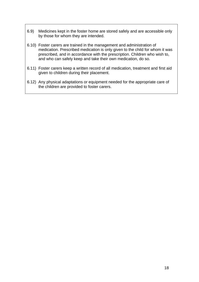- 6.9) Medicines kept in the foster home are stored safely and are accessible only by those for whom they are intended.
- 6.10) Foster carers are trained in the management and administration of medication. Prescribed medication is only given to the child for whom it was prescribed, and in accordance with the prescription. Children who wish to, and who can safely keep and take their own medication, do so.
- 6.11) Foster carers keep a written record of all medication, treatment and first aid given to children during their placement.
- 6.12) Any physical adaptations or equipment needed for the appropriate care of the children are provided to foster carers.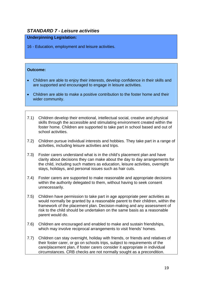# <span id="page-18-0"></span>*STANDARD 7 - Leisure activities*

#### **Underpinning Legislation:**

16 - Education, employment and leisure activities.

- Children are able to enjoy their interests, develop confidence in their skills and are supported and encouraged to engage in leisure activities.
- Children are able to make a positive contribution to the foster home and their wider community.
- 7.1) Children develop their emotional, intellectual social, creative and physical skills through the accessible and stimulating environment created within the foster home. Children are supported to take part in school based and out of school activities.
- 7.2) Children pursue individual interests and hobbies. They take part in a range of activities, including leisure activities and trips.
- 7.3) Foster carers understand what is in the child's placement plan and have clarity about decisions they can make about the day to day arrangements for the child, including such matters as education, leisure activities, overnight stays, holidays, and personal issues such as hair cuts.
- 7.4) Foster carers are supported to make reasonable and appropriate decisions within the authority delegated to them, without having to seek consent unnecessarily.
- 7.5) Children have permission to take part in age appropriate peer activities as would normally be granted by a reasonable parent to their children, within the framework of the placement plan. Decision-making and any assessment of risk to the child should be undertaken on the same basis as a reasonable parent would do.
- 7.6) Children are encouraged and enabled to make and sustain friendships, which may involve reciprocal arrangements to visit friends' homes.
- 7.7) Children can stay overnight, holiday with friends, or friends and relatives of their foster carer, or go on schools trips, subject to requirements of the care/placement plan, if foster carers consider it appropriate in individual circumstances. CRB checks are not normally sought as a precondition.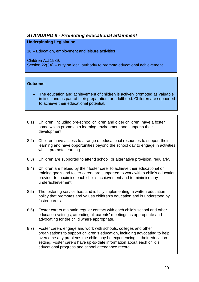# <span id="page-19-0"></span>*STANDARD 8 - Promoting educational attainment*

#### **Underpinning Legislation:**

16 – Education, employment and leisure activities

Children Act 1989:

Section 22(3A) – duty on local authority to promote educational achievement

- The education and achievement of children is actively promoted as valuable in itself and as part of their preparation for adulthood. Children are supported to achieve their educational potential.
- 8.1) Children, including pre-school children and older children, have a foster home which promotes a learning environment and supports their development.
- 8.2) Children have access to a range of educational resources to support their learning and have opportunities beyond the school day to engage in activities which promote learning.
- 8.3) Children are supported to attend school, or alternative provision, regularly.
- 8.4) Children are helped by their foster carer to achieve their educational or training goals and foster carers are supported to work with a child's education provider to maximise each child's achievement and to minimise any underachievement.
- 8.5) The fostering service has, and is fully implementing, a written education policy that promotes and values children's education and is understood by foster carers.
- 8.6) Foster carers maintain regular contact with each child's school and other education settings, attending all parents' meetings as appropriate and advocating for the child where appropriate.
- 8.7) Foster carers engage and work with schools, colleges and other organisations to support children's education, including advocating to help overcome any problems the child may be experiencing in their education setting. Foster carers have up-to-date information about each child's educational progress and school attendance record.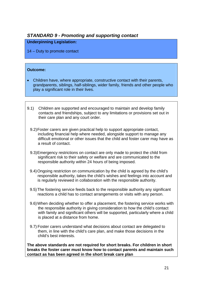# <span id="page-20-0"></span>*STANDARD 9 - Promoting and supporting contact*

#### **Underpinning Legislation:**

14 – Duty to promote contact

#### **Outcome:**

- Children have, where appropriate, constructive contact with their parents, grandparents, siblings, half-siblings, wider family, friends and other people who play a significant role in their lives.
- 9.1) Children are supported and encouraged to maintain and develop family contacts and friendships, subject to any limitations or provisions set out in their care plan and any court order.
	- 9.2) Foster carers are given practical help to support appropriate contact, including financial help where needed, alongside support to manage any difficult emotional or other issues that the child and foster carer may have as a result of contact.
	- 9.3) Emergency restrictions on contact are only made to protect the child from significant risk to their safety or welfare and are communicated to the responsible authority within 24 hours of being imposed.
	- 9.4) Ongoing restriction on communication by the child is agreed by the child's responsible authority, takes the child's wishes and feelings into account and is regularly reviewed in collaboration with the responsible authority.
	- 9.5) The fostering service feeds back to the responsible authority any significant reactions a child has to contact arrangements or visits with any person.
	- 9.6) When deciding whether to offer a placement, the fostering service works with the responsible authority in giving consideration to how the child's contact with family and significant others will be supported, particularly where a child is placed at a distance from home.
	- 9.7) Foster carers understand what decisions about contact are delegated to them, in line with the child's care plan, and make those decisions in the child's best interests.

**The above standards are not required for short breaks. For children in short breaks the foster carer must know how to contact parents and maintain such contact as has been agreed in the short break care plan**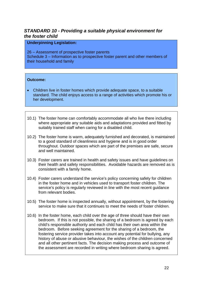# <span id="page-21-0"></span>*STANDARD 10 - Providing a suitable physical environment for the foster child*

#### **Underpinning Legislation:**

26 – Assessment of prospective foster parents Schedule 3 – Information as to prospective foster parent and other members of their household and family

- Children live in foster homes which provide adequate space, to a suitable standard. The child enjoys access to a range of activities which promote his or her development.
- 10.1) The foster home can comfortably accommodate all who live there including where appropriate any suitable aids and adaptations provided and fitted by suitably trained staff when caring for a disabled child.
- 10.2) The foster home is warm, adequately furnished and decorated, is maintained to a good standard of cleanliness and hygiene and is in good order throughout. Outdoor spaces which are part of the premises are safe, secure and well maintained.
- 10.3) Foster carers are trained in health and safety issues and have guidelines on their health and safety responsibilities. Avoidable hazards are removed as is consistent with a family home.
- 10.4) Foster carers understand the service's policy concerning safety for children in the foster home and in vehicles used to transport foster children. The service's policy is regularly reviewed in line with the most recent guidance from relevant bodies.
- 10.5) The foster home is inspected annually, without appointment, by the fostering service to make sure that it continues to meet the needs of foster children.
- 10.6) In the foster home, each child over the age of three should have their own bedroom. If this is not possible, the sharing of a bedroom is agreed by each child's responsible authority and each child has their own area within the bedroom. Before seeking agreement for the sharing of a bedroom, the fostering service provider takes into account any potential for bullying, any history of abuse or abusive behaviour, the wishes of the children concerned and all other pertinent facts. The decision making process and outcome of the assessment are recorded in writing where bedroom sharing is agreed.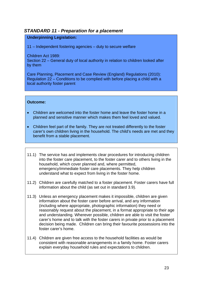# <span id="page-22-0"></span>*STANDARD 11 - Preparation for a placement*

#### **Underpinning Legislation:**

11 – Independent fostering agencies – duty to secure welfare

Children Act 1989:

Section 22 – General duty of local authority in relation to children looked after by them

Care Planning, Placement and Case Review (England) Regulations (2010): Regulation 22 – Conditions to be complied with before placing a child with a local authority foster parent

- Children are welcomed into the foster home and leave the foster home in a planned and sensitive manner which makes them feel loved and valued.
- Children feel part of the family. They are not treated differently to the foster carer's own children living in the household. The child's needs are met and they benefit from a stable placement.
- 11.1) The service has and implements clear procedures for introducing children into the foster care placement, to the foster carer and to others living in the household, which cover planned and, where permitted, emergency/immediate foster care placements. They help children understand what to expect from living in the foster home.
- 11.2) Children are carefully matched to a foster placement. Foster carers have full information about the child (as set out in standard 3.9).
- 11.3) Unless an emergency placement makes it impossible, children are given information about the foster carer before arrival, and any information (including where appropriate, photographic information) they need or reasonably request about the placement, in a format appropriate to their age and understanding. Wherever possible, children are able to visit the foster carer's home and to talk with the foster carers in private prior to a placement decision being made. Children can bring their favourite possessions into the foster carer's home.
- 11.4) Children are given free access to the household facilities as would be consistent with reasonable arrangements in a family home. Foster carers explain everyday household rules and expectations to children.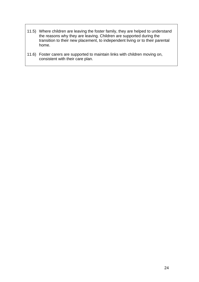- 11.5) Where children are leaving the foster family, they are helped to understand the reasons why they are leaving. Children are supported during the transition to their new placement, to independent living or to their parental home.
- 11.6) Foster carers are supported to maintain links with children moving on, consistent with their care plan.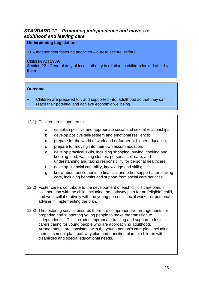# <span id="page-24-0"></span>*STANDARD 12 – Promoting independence and moves to adulthood and leaving care*

#### **Underpinning Legislation:**

11 – Independent fostering agencies – duty to secure welfare

Children Act 1989:

Section 22 - General duty of local authority in relation to children looked after by them

#### **Outcome:**

• Children are prepared for, and supported into, adulthood so that they can reach their potential and achieve economic wellbeing.

12.1) Children are supported to:

- a. establish positive and appropriate social and sexual relationships;
- b. develop positive self-esteem and emotional resilience;
- c. prepare for the world of work and or further or higher education;
- d. prepare for moving into their own accommodation;
- e. develop practical skills, including shopping, buying, cooking and keeping food, washing clothes, personal self-care, and understanding and taking responsibility for personal healthcare;
- f. develop financial capability, knowledge and skills;
- g. know about entitlements to financial and other support after leaving care, including benefits and support from social care services.
- 12.2) Foster carers contribute to the development of each child's care plan, in collaboration with the child, including the pathway plan for an "eligible" child, and work collaboratively with the young person's social worker or personal adviser in implementing the plan.
- 12.3) The fostering service ensures there are comprehensive arrangements for preparing and supporting young people to make the transition to independence. This includes appropriate training and support to foster carers caring for young people who are approaching adulthood. Arrangements are consistent with the young person's care plan, including their placement plan, pathway plan and transition plan for children with disabilities and special educational needs.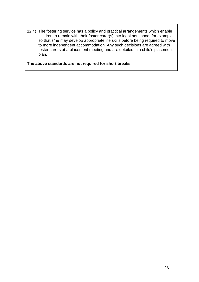12.4) The fostering service has a policy and practical arrangements which enable children to remain with their foster carer(s) into legal adulthood, for example so that s/he may develop appropriate life skills before being required to move to more independent accommodation. Any such decisions are agreed with foster carers at a placement meeting and are detailed in a child's placement plan.

**The above standards are not required for short breaks.**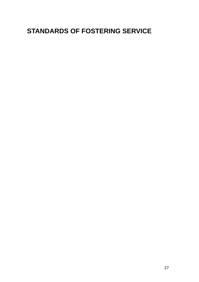# <span id="page-26-0"></span>**STANDARDS OF FOSTERING SERVICE**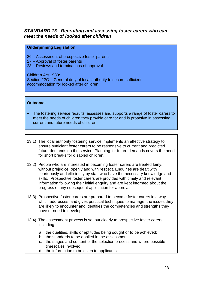# <span id="page-27-0"></span>*STANDARD 13 - Recruiting and assessing foster carers who can meet the needs of looked after children*

#### **Underpinning Legislation:**

- 26 Assessment of prospective foster parents
- 27 Approval of foster parents
- 28 Reviews and terminations of approval

Children Act 1989:

Section 22G – General duty of local authority to secure sufficient accommodation for looked after children

- The fostering service recruits, assesses and supports a range of foster carers to meet the needs of children they provide care for and is proactive in assessing current and future needs of children.
- 13.1) The local authority fostering service implements an effective strategy to ensure sufficient foster carers to be responsive to current and predicted future demands on the service. Planning for future demands covers the need for short breaks for disabled children.
- 13.2) People who are interested in becoming foster carers are treated fairly, without prejudice, openly and with respect. Enquiries are dealt with courteously and efficiently by staff who have the necessary knowledge and skills. Prospective foster carers are provided with timely and relevant information following their initial enquiry and are kept informed about the progress of any subsequent application for approval.
- 13.3) Prospective foster carers are prepared to become foster carers in a way which addresses, and gives practical techniques to manage, the issues they are likely to encounter and identifies the competencies and strengths they have or need to develop.
- 13.4) The assessment process is set out clearly to prospective foster carers, including:
	- a. the qualities, skills or aptitudes being sought or to be achieved;
	- b. the standards to be applied in the assessment;
	- c. the stages and content of the selection process and where possible timescales involved;
	- d. the information to be given to applicants.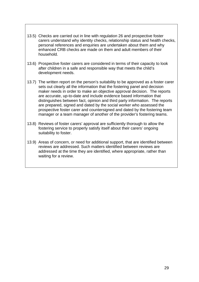- 13.5) Checks are carried out in line with regulation 26 and prospective foster carers understand why identity checks, relationship status and health checks, personal references and enquiries are undertaken about them and why enhanced CRB checks are made on them and adult members of their household.
- 13.6) Prospective foster carers are considered in terms of their capacity to look after children in a safe and responsible way that meets the child's development needs.
- 13.7) The written report on the person's suitability to be approved as a foster carer sets out clearly all the information that the fostering panel and decision maker needs in order to make an objective approval decision. The reports are accurate, up-to-date and include evidence based information that distinguishes between fact, opinion and third party information. The reports are prepared, signed and dated by the social worker who assessed the prospective foster carer and countersigned and dated by the fostering team manager or a team manager of another of the provider's fostering teams.
- 13.8) Reviews of foster carers' approval are sufficiently thorough to allow the fostering service to properly satisfy itself about their carers' ongoing suitability to foster.
- 13.9) Areas of concern, or need for additional support, that are identified between reviews are addressed. Such matters identified between reviews are addressed at the time they are identified, where appropriate, rather than waiting for a review.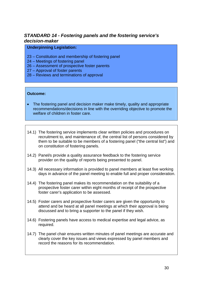# <span id="page-29-0"></span>*STANDARD 14 - Fostering panels and the fostering service's decision-maker*

#### **Underpinning Legislation:**

- 23 Constitution and membership of fostering panel
- 24 Meetings of fostering panel
- 26 Assessment of prospective foster parents
- 27 Approval of foster parents
- 28 Reviews and terminations of approval

- The fostering panel and decision maker make timely, quality and appropriate recommendations/decisions in line with the overriding objective to promote the welfare of children in foster care.
- 14.1) The fostering service implements clear written policies and procedures on recruitment to, and maintenance of, the central list of persons considered by them to be suitable to be members of a fostering panel ("the central list") and on constitution of fostering panels.
- 14.2) Panel/s provide a quality assurance feedback to the fostering service provider on the quality of reports being presented to panel.
- 14.3) All necessary information is provided to panel members at least five working days in advance of the panel meeting to enable full and proper consideration.
- 14.4) The fostering panel makes its recommendation on the suitability of a prospective foster carer within eight months of receipt of the prospective foster carer's application to be assessed.
- 14.5) Foster carers and prospective foster carers are given the opportunity to attend and be heard at all panel meetings at which their approval is being discussed and to bring a supporter to the panel if they wish.
- 14.6) Fostering panels have access to medical expertise and legal advice, as required.
- 14.7) The panel chair ensures written minutes of panel meetings are accurate and clearly cover the key issues and views expressed by panel members and record the reasons for its recommendation.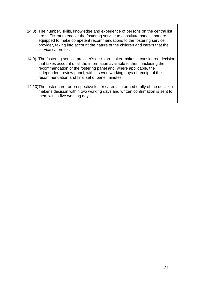- 14.8) The number, skills, knowledge and experience of persons on the central list are sufficient to enable the fostering service to constitute panels that are equipped to make competent recommendations to the fostering service provider, taking into account the nature of the children and carers that the service caters for.
- 14.9) The fostering service provider's decision-maker makes a considered decision that takes account of all the information available to them, including the recommendation of the fostering panel and, where applicable, the independent review panel, within seven working days of receipt of the recommendation and final set of panel minutes.
- 14.10)The foster carer or prospective foster carer is informed orally of the decision maker's decision within two working days and written confirmation is sent to them within five working days.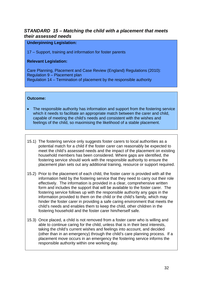# <span id="page-31-0"></span>*STANDARD 15 – Matching the child with a placement that meets their assessed needs*

#### **Underpinning Legislation:**

17 – Support, training and information for foster parents

#### **Relevant Legislation:**

Care Planning, Placement and Case Review (England) Regulations (2010): Regulation 9 – Placement plan Regulation 14 – Termination of placement by the responsible authority

- The responsible authority has information and support from the fostering service which it needs to facilitate an appropriate match between the carer and child, capable of meeting the child's needs and consistent with the wishes and feelings of the child, so maximising the likelihood of a stable placement.
- 15.1) The fostering service only suggests foster carers to local authorities as a potential match for a child if the foster carer can reasonably be expected to meet the child's assessed needs and the impact of the placement on existing household members has been considered. Where gaps are identified, the fostering service should work with the responsible authority to ensure the placement plan sets out any additional training, resource or support required.
- 15.2) Prior to the placement of each child, the foster carer is provided with all the information held by the fostering service that they need to carry out their role effectively. The information is provided in a clear, comprehensive written form and includes the support that will be available to the foster carer. The fostering service follows up with the responsible authority any gaps in the information provided to them on the child or the child's family, which may hinder the foster carer in providing a safe caring environment that meets the child's needs and enables them to keep the child, other children in the fostering household and the foster carer him/herself safe.
- 15.3) Once placed, a child is not removed from a foster carer who is willing and able to continue caring for the child, unless that is in their best interests, taking the child's current wishes and feelings into account, and decided (other than in an emergency) through the child's care planning process. If a placement move occurs in an emergency the fostering service informs the responsible authority within one working day.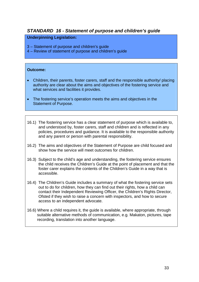# <span id="page-32-0"></span>*STANDARD 16 - Statement of purpose and children's guide*

#### **Underpinning Legislation:**

3 – Statement of purpose and children's guide

4 – Review of statement of purpose and children's guide

- Children, their parents, foster carers, staff and the responsible authority/ placing authority are clear about the aims and objectives of the fostering service and what services and facilities it provides.
- The fostering service's operation meets the aims and objectives in the Statement of Purpose.
- 16.1) The fostering service has a clear statement of purpose which is available to, and understood by, foster carers, staff and children and is reflected in any policies, procedures and guidance. It is available to the responsible authority and any parent or person with parental responsibility.
- 16.2) The aims and objectives of the Statement of Purpose are child focused and show how the service will meet outcomes for children.
- 16.3) Subject to the child's age and understanding, the fostering service ensures the child receives the Children's Guide at the point of placement and that the foster carer explains the contents of the Children's Guide in a way that is accessible.
- 16.4) The Children's Guide includes a summary of what the fostering service sets out to do for children, how they can find out their rights, how a child can contact their Independent Reviewing Officer, the Children's Rights Director, Ofsted if they wish to raise a concern with inspectors, and how to secure access to an independent advocate.
- 16.6) Where a child requires it, the guide is available, where appropriate, through suitable alternative methods of communication, e.g. Makaton, pictures, tape recording, translation into another language.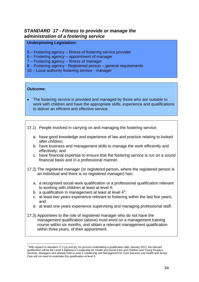# <span id="page-33-0"></span>*STANDARD 17 - Fitness to provide or manage the administration of a fostering service*

#### **Underpinning Legislation:**

- 5 Fostering agency fitness of fostering service provider
- 6 Fostering agency appointment of manager
- 7 Fostering agency fitness of manager
- 8 Fostering agency Registered person general requirements
- 10 Local authority fostering service manager

#### **Outcome:**

1

- The fostering service is provided and managed by those who are suitable to work with children and have the appropriate skills, experience and qualifications to deliver an efficient and effective service.
- 17.1) People involved in carrying on and managing the fostering service:
	- a. have good knowledge and experience of law and practice relating to looked after children;
	- b. have business and management skills to manage the work efficiently and effectively; and
	- c. have financial expertise to ensure that the fostering service is run on a sound financial basis and in a professional manner.
- 17.2) The registered manager (or registered person, where the registered person is an individual and there is no registered manager) has:
	- a. a recognised social work qualification or a professional qualification relevant to working with children at least at level 4;
	- b. a qualification in management at least at level  $4^3$  $4^3$ ;
	- c. at least two years experience relevant to fostering within the last five years; and
	- d. at least one years experience supervising and managing professional staff.
- 17.3) Appointees to the role of registered manager who do not have the management qualification (above) must enrol on a management training course within six months, and obtain a relevant management qualification within three years, of their appointment.

<span id="page-33-1"></span> $3$  With respect to standard 17.2 (a) and (b), for persons undertaking a qualification after January 2011, the relevant qualification will be the Level 5 Diploma in Leadership for Health and Social Care and Children and Young People's Services. Managers who already hold a Level 4 Leadership and Management for Care Services and Health and Social Care will not need to undertake this qualification at level 5.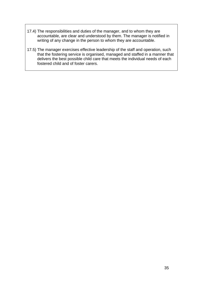- 17.4) The responsibilities and duties of the manager, and to whom they are accountable, are clear and understood by them. The manager is notified in writing of any change in the person to whom they are accountable.
- 17.5) The manager exercises effective leadership of the staff and operation, such that the fostering service is organised, managed and staffed in a manner that delivers the best possible child care that meets the individual needs of each fostered child and of foster carers.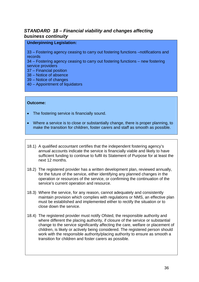# <span id="page-35-0"></span>*STANDARD 18 – Financial viability and changes affecting business continuity*

#### **Underpinning Legislation:**

33 – Fostering agency ceasing to carry out fostering functions –notifications and records

34 – Fostering agency ceasing to carry out fostering functions – new fostering service providers

- 37 Financial position
- 38 Notice of absence
- 39 Notice of changes
- 40 Appointment of liquidators

- The fostering service is financially sound.
- Where a service is to close or substantially change, there is proper planning, to make the transition for children, foster carers and staff as smooth as possible.
- 18.1) A qualified accountant certifies that the independent fostering agency's annual accounts indicate the service is financially viable and likely to have sufficient funding to continue to fulfil its Statement of Purpose for at least the next 12 months.
- 18.2) The registered provider has a written development plan, reviewed annually, for the future of the service, either identifying any planned changes in the operation or resources of the service, or confirming the continuation of the service's current operation and resource.
- 18.3) Where the service, for any reason, cannot adequately and consistently maintain provision which complies with regulations or NMS, an effective plan must be established and implemented either to rectify the situation or to close down the service.
- 18.4) The registered provider must notify Ofsted, the responsible authority and where different the placing authority, if closure of the service or substantial change to the service significantly affecting the care, welfare or placement of children, is likely or actively being considered. The registered person should work with the responsible authority/placing authority to ensure as smooth a transition for children and foster carers as possible.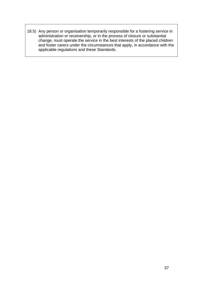18.5) Any person or organisation temporarily responsible for a fostering service in administration or receivership, or in the process of closure or substantial change, must operate the service in the best interests of the placed children and foster carers under the circumstances that apply, in accordance with the applicable regulations and these Standards.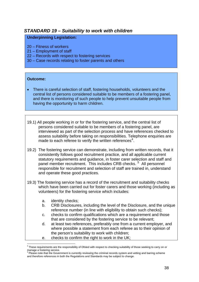# <span id="page-37-0"></span>*STANDARD 19 – Suitability to work with children*

#### **Underpinning Legislation:**

- 20 Fitness of workers
- 21 Employment of staff
- 22 Records with respect to fostering services
- 30 Case records relating to foster parents and others

#### **Outcome:**

- There is careful selection of staff, fostering households, volunteers and the central list of persons considered suitable to be members of a fostering panel, and there is monitoring of such people to help prevent unsuitable people from having the opportunity to harm children.
- 19.1) All people working in or for the fostering service, and the central list of persons considered suitable to be members of a fostering panel, are interviewed as part of the selection process and have references checked to assess suitability before taking on responsibilities. Telephone enquiries are made to each referee to verify the written references<sup>[4](#page-37-1)</sup>.
- 19.2) The fostering service can demonstrate, including from written records, that it consistently follows good recruitment practice, and all applicable current statutory requirements and guidance, in foster carer selection and staff and panel member recruitment. This includes CRB checks.<sup>[5](#page-37-2)</sup> All personnel responsible for recruitment and selection of staff are trained in, understand and operate these good practices.
- 19.3) The fostering service has a record of the recruitment and suitability checks which have been carried out for foster carers and those working (including as volunteers) for the fostering service which includes:
	- a. identity checks;

1

- b. CRB Disclosures, including the level of the Disclosure, and the unique reference number (in line with eligibility to obtain such checks);
- c. checks to confirm qualifications which are a requirement and those that are considered by the fostering service to be relevant;
- d. at least two references, preferably one from a current employer, and where possible a statement from each referee as to their opinion of the person's suitability to work with children;
- e. checks to confirm the right to work in the UK;

<span id="page-37-1"></span><sup>4</sup> These requirements are the responsibility of Ofsted with respect to checking suitability of those seeking to carry on or manage a fostering service.<br><sup>5</sup> Please note that the Government is currently reviewing the criminal records system and vetting and barring scheme

<span id="page-37-2"></span>and therefore references in both the Regulations and Standards may be subject to change.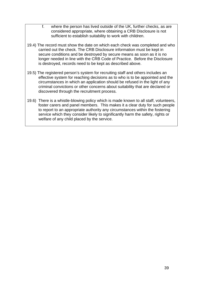- f. where the person has lived outside of the UK, further checks, as are considered appropriate, where obtaining a CRB Disclosure is not sufficient to establish suitability to work with children.
- 19.4) The record must show the date on which each check was completed and who carried out the check. The CRB Disclosure information must be kept in secure conditions and be destroyed by secure means as soon as it is no longer needed in line with the CRB Code of Practice. Before the Disclosure is destroyed, records need to be kept as described above.
- 19.5) The registered person's system for recruiting staff and others includes an effective system for reaching decisions as to who is to be appointed and the circumstances in which an application should be refused in the light of any criminal convictions or other concerns about suitability that are declared or discovered through the recruitment process.
- 19.6) There is a whistle-blowing policy which is made known to all staff, volunteers, foster carers and panel members. This makes it a clear duty for such people to report to an appropriate authority any circumstances within the fostering service which they consider likely to significantly harm the safety, rights or welfare of any child placed by the service.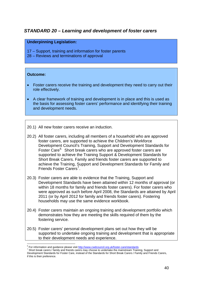# <span id="page-39-0"></span>*STANDARD 20 – Learning and development of foster carers*

#### **Underpinning Legislation:**

- 17 Support, training and information for foster parents
- 28 Reviews and terminations of approval

- Foster carers receive the training and development they need to carry out their role effectively.
- A clear framework of training and development is in place and this is used as the basis for assessing foster carers' performance and identifying their training and development needs.
- 20.1) All new foster carers receive an induction.
- 20.2) All foster carers, including all members of a household who are approved foster carers, are supported to achieve the Children's Workforce Development Council's Training, Support and Development Standards for Foster Care<sup>[6](#page-39-1)</sup>. Short break carers who are approved foster carers are supported to achieve the Training Support & Development Standards for Short Break Carers. Family and friends foster carers are supported to achieve the Training, Support and Development Standards for Family and Friends Foster Carers<sup>[7](#page-39-2)</sup>.
- 20.3) Foster carers are able to evidence that the Training, Support and Development Standards have been attained within 12 months of approval (or within 18 months for family and friends foster carers). For foster carers who were approved as such before April 2008, the Standards are attained by April 2011 (or by April 2012 for family and friends foster carers). Fostering households may use the same evidence workbook.
- 20.4) Foster carers maintain an ongoing training and development portfolio which demonstrates how they are meeting the skills required of them by the fostering service.
- 20.5) Foster carers' personal development plans set out how they will be supported to undertake ongoing training and development that is appropriate to their development needs and experience.

<sup>1</sup>  $^6$  For information and guidance please visit  $\underline{\text{http://www.cwdcouncil.org.uk/foster-care/standards}}$ <br>  $^7$  Short break earers (family and friends earers may shoose to undertake the mainstream Traini

<span id="page-39-2"></span><span id="page-39-1"></span>Short break carers / family and friends carers may choose to undertake the mainstream Training, Support and Development Standards for Foster Care, instead of the Standards for Short Break Carers / Family and Friends Carers, if this is their preference.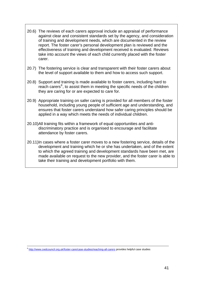- 20.6) The reviews of each carers approval include an appraisal of performance against clear and consistent standards set by the agency, and consideration of training and development needs, which are documented in the review report. The foster carer's personal development plan is reviewed and the effectiveness of training and development received is evaluated. Reviews take into account the views of each child currently placed with the foster carer.
- 20.7) The fostering service is clear and transparent with their foster carers about the level of support available to them and how to access such support.
- 20.8) Support and training is made available to foster carers, including hard to reach carers<sup>[8](#page-40-0)</sup>, to assist them in meeting the specific needs of the children they are caring for or are expected to care for.
- 20.9) Appropriate training on safer caring is provided for all members of the foster household, including young people of sufficient age and understanding, and ensures that foster carers understand how safer caring principles should be applied in a way which meets the needs of individual children.
- 20.10)All training fits within a framework of equal opportunities and antidiscriminatory practice and is organised to encourage and facilitate attendance by foster carers.
- 20.11)In cases where a foster carer moves to a new fostering service, details of the development and training which he or she has undertaken, and of the extent to which the agreed training and development standards have been met, are made available on request to the new provider, and the foster carer is able to take their training and development portfolio with them.

1

<span id="page-40-0"></span><sup>&</sup>lt;sup>8</sup> <http://www.cwdcouncil.org.uk/foster-care/case-studies/reaching-all-carers> provides helpful case studies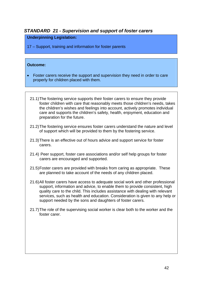# <span id="page-41-0"></span>*STANDARD 21 - Supervision and support of foster carers*

#### **Underpinning Legislation:**

17 – Support, training and information for foster parents

- Foster carers receive the support and supervision they need in order to care properly for children placed with them.
	- 21.1) The fostering service supports their foster carers to ensure they provide foster children with care that reasonably meets those children's needs, takes the children's wishes and feelings into account, actively promotes individual care and supports the children's safety, health, enjoyment, education and preparation for the future.
	- 21.2) The fostering service ensures foster carers understand the nature and level of support which will be provided to them by the fostering service.
	- 21.3) There is an effective out of hours advice and support service for foster carers.
	- 21.4) Peer support, foster care associations and/or self help groups for foster carers are encouraged and supported.
	- 21.5) Foster carers are provided with breaks from caring as appropriate. These are planned to take account of the needs of any children placed.
	- 21.6) All foster carers have access to adequate social work and other professional support, information and advice, to enable them to provide consistent, high quality care to the child. This includes assistance with dealing with relevant services, such as health and education. Consideration is given to any help or support needed by the sons and daughters of foster carers.
	- 21.7) The role of the supervising social worker is clear both to the worker and the foster carer.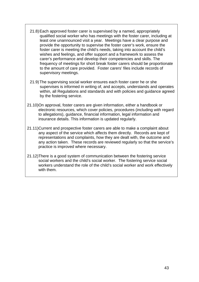- 21.8)Each approved foster carer is supervised by a named, appropriately qualified social worker who has meetings with the foster carer, including at least one unannounced visit a year. Meetings have a clear purpose and provide the opportunity to supervise the foster carer's work, ensure the foster carer is meeting the child's needs, taking into account the child's wishes and feelings, and offer support and a framework to assess the carer's performance and develop their competencies and skills. The frequency of meetings for short break foster carers should be proportionate to the amount of care provided. Foster carers' files include records of supervisory meetings.
- 21.9) The supervising social worker ensures each foster carer he or she supervises is informed in writing of, and accepts, understands and operates within, all Regulations and standards and with policies and guidance agreed by the fostering service.
- 21.10)On approval, foster carers are given information, either a handbook or electronic resources, which cover policies, procedures (including with regard to allegations), guidance, financial information, legal information and insurance details. This information is updated regularly.
- 21.11)Current and prospective foster carers are able to make a complaint about any aspect of the service which affects them directly. Records are kept of representations and complaints, how they are dealt with, the outcome and any action taken. These records are reviewed regularly so that the service's practice is improved where necessary.
- 21.12)There is a good system of communication between the fostering service social workers and the child's social worker. The fostering service social workers understand the role of the child's social worker and work effectively with them.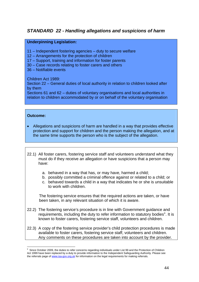# <span id="page-43-0"></span>*STANDARD 22 - Handling allegations and suspicions of harm*

#### **Underpinning Legislation:**

- 11 Independent fostering agencies duty to secure welfare
- 12 Arrangements for the protection of children
- 17 Support, training and information for foster parents
- 30 Case records relating to foster carers and others
- 36 Notifiable events

Children Act 1989:

Section 22 – General duties of local authority in relation to children looked after by them

Sections 61 and 62 – duties of voluntary organisations and local authorities in relation to children accommodated by or on behalf of the voluntary organisation

#### **Outcome:**

- Allegations and suspicions of harm are handled in a way that provides effective protection and support for children and the person making the allegation, and at the same time supports the person who is the subject of the allegation.
- 22.1) All foster carers, fostering service staff and volunteers understand what they must do if they receive an allegation or have suspicions that a person may have:
	- a. behaved in a way that has, or may have, harmed a child;
	- b. possibly committed a criminal offence against or related to a child; or
	- c. behaved towards a child in a way that indicates he or she is unsuitable to work with children.

The fostering service ensures that the required actions are taken, or have been taken, in any relevant situation of which it is aware.

- 22.2) The fostering service's procedure is in line with Government guidance and requirements, including the duty to refer information to statutory bodies<sup>[9](#page-43-1)</sup>. It is known to foster carers, fostering service staff, volunteers and children.
- 22.3) A copy of the fostering service provider's child protection procedures is made available to foster carers, fostering service staff, volunteers and children. Any comments on these procedures are taken into account by the provider.

<span id="page-43-1"></span><sup>1</sup> 9 Since October 2009, the duties to refer concerns regarding individuals under List 99 and the Protection of Children Act 1999 have been replaced by a duty to provide information to the Independent Safeguarding Authority. Please see the referrals page of [www.isa-gov.org.uk](http://www.isa-gov.org.uk/) for information on the legal requirements for making referrals.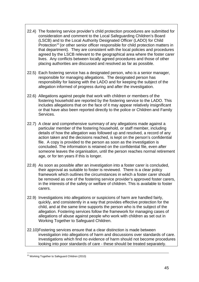- 22.4) The fostering service provider's child protection procedures are submitted for consideration and comment to the Local Safeguarding Children's Board (LSCB) and to the Local Authority Designated Officer (LADO) for Child Protection<sup>[10](#page-44-0)</sup> (or other senior officer responsible for child protection matters in that department). They are consistent with the local policies and procedures agreed by the LSCB relevant to the geographical area where the foster carer lives. Any conflicts between locally agreed procedures and those of other placing authorities are discussed and resolved as far as possible.
- 22.5) Each fostering service has a designated person, who is a senior manager, responsible for managing allegations. The designated person has responsibility for liaising with the LADO and for keeping the subject of the allegation informed of progress during and after the investigation.
- 22.6) Allegations against people that work with children or members of the fostering household are reported by the fostering service to the LADO. This includes allegations that on the face of it may appear relatively insignificant or that have also been reported directly to the police or Children and Family Services.
- 22.7) A clear and comprehensive summary of any allegations made against a particular member of the fostering household, or staff member, including details of how the allegation was followed up and resolved, a record of any action taken and the decisions reached, is kept on the person's confidential file. A copy is provided to the person as soon as the investigation is concluded. The information is retained on the confidential file, even after someone leaves the organisation, until the person reaches normal retirement age, or for ten years if this is longer.
- 22.8) As soon as possible after an investigation into a foster carer is concluded, their approval as suitable to foster is reviewed. There is a clear policy framework which outlines the circumstances in which a foster carer should be removed as one of the fostering service provider's approved foster carers, in the interests of the safety or welfare of children. This is available to foster carers.
- 22.9) Investigations into allegations or suspicions of harm are handled fairly, quickly, and consistently in a way that provides effective protection for the child, and at the same time supports the person who is the subject of the allegation. Fostering services follow the framework for managing cases of allegations of abuse against people who work with children as set out in Working Together to Safeguard Children.
- 22.10)Fostering services ensure that a clear distinction is made between investigation into allegations of harm and discussions over standards of care. Investigations which find no evidence of harm should not become procedures looking into poor standards of care - these should be treated separately.

<span id="page-44-0"></span><sup>1</sup> <sup>10</sup> Working Together to Safeguard Children (2010)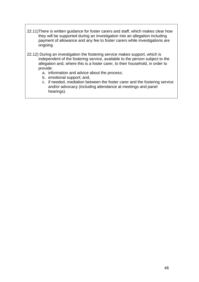- 22.11)There is written guidance for foster carers and staff, which makes clear how they will be supported during an investigation into an allegation including payment of allowance and any fee to foster carers while investigations are ongoing.
- 22.12) During an investigation the fostering service makes support, which is independent of the fostering service, available to the person subject to the allegation and, where this is a foster carer, to their household, in order to provide:
	- a. information and advice about the process;
	- b. emotional support; and,
	- c. if needed, mediation between the foster carer and the fostering service and/or advocacy (including attendance at meetings and panel hearings).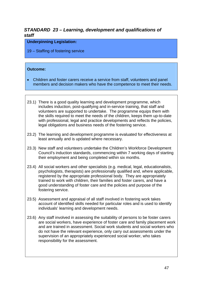# <span id="page-46-0"></span>*STANDARD 23 – Learning, development and qualifications of staff*

#### **Underpinning Legislation:**

19 – Staffing of fostering service

- Children and foster carers receive a service from staff, volunteers and panel members and decision makers who have the competence to meet their needs.
- 23.1) There is a good quality learning and development programme, which includes induction, post-qualifying and in-service training, that staff and volunteers are supported to undertake. The programme equips them with the skills required to meet the needs of the children, keeps them up-to-date with professional, legal and practice developments and reflects the policies, legal obligations and business needs of the fostering service.
- 23.2) The learning and development programme is evaluated for effectiveness at least annually and is updated where necessary.
- 23.3) New staff and volunteers undertake the Children's Workforce Development Council's induction standards, commencing within 7 working days of starting their employment and being completed within six months.
- 23.4) All social workers and other specialists (e.g. medical, legal, educationalists, psychologists, therapists) are professionally qualified and, where applicable, registered by the appropriate professional body. They are appropriately trained to work with children, their families and foster carers, and have a good understanding of foster care and the policies and purpose of the fostering service.
- 23.5) Assessment and appraisal of all staff involved in fostering work takes account of identified skills needed for particular roles and is used to identify individuals' learning and development needs.
- 23.6) Any staff involved in assessing the suitability of persons to be foster carers are social workers, have experience of foster care and family placement work and are trained in assessment. Social work students and social workers who do not have the relevant experience, only carry out assessments under the supervision of an appropriately experienced social worker, who takes responsibility for the assessment.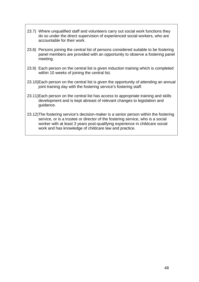- 23.7) Where unqualified staff and volunteers carry out social work functions they do so under the direct supervision of experienced social workers, who are accountable for their work.
- 23.8) Persons joining the central list of persons considered suitable to be fostering panel members are provided with an opportunity to observe a fostering panel meeting.
- 23.9) Each person on the central list is given induction training which is completed within 10 weeks of joining the central list.
- 23.10)Each person on the central list is given the opportunity of attending an annual joint training day with the fostering service's fostering staff.
- 23.11)Each person on the central list has access to appropriate training and skills development and is kept abreast of relevant changes to legislation and guidance.
- 23.12)The fostering service's decision-maker is a senior person within the fostering service, or is a trustee or director of the fostering service, who is a social worker with at least 3 years post-qualifying experience in childcare social work and has knowledge of childcare law and practice.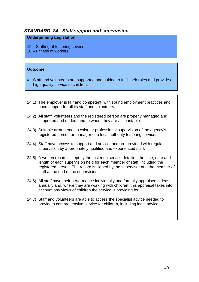# <span id="page-48-0"></span>*STANDARD 24 - Staff support and supervision*

#### **Underpinning Legislation:**

- 19 Staffing of fostering service
- 20 Fitness of workers

- Staff and volunteers are supported and guided to fulfil their roles and provide a high quality service to children.
- 24.1) The employer is fair and competent, with sound employment practices and good support for all its staff and volunteers.
- 24.2) All staff, volunteers and the registered person are properly managed and supported and understand to whom they are accountable.
- 24.3) Suitable arrangements exist for professional supervision of the agency's registered person or manager of a local authority fostering service.
- 24.4) Staff have access to support and advice, and are provided with regular supervision by appropriately qualified and experienced staff.
- 24.5) A written record is kept by the fostering service detailing the time, date and length of each supervision held for each member of staff, including the registered person. The record is signed by the supervisor and the member of staff at the end of the supervision.
- 24.6) All staff have their performance individually and formally appraised at least annually and, where they are working with children, this appraisal takes into account any views of children the service is providing for.
- 24.7) Staff and volunteers are able to access the specialist advice needed to provide a comprehensive service for children, including legal advice.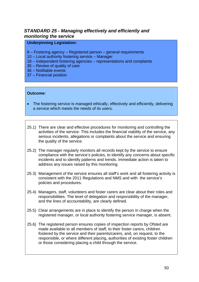# <span id="page-49-0"></span>*STANDARD 25 - Managing effectively and efficiently and monitoring the service*

#### **Underpinning Legislation:**

- 8 Fostering agency Registered person general requirements
- 10 Local authority fostering service Manager
- 18 Independent fostering agencies representations and complaints
- 35 Review of quality of care
- 36 Notifiable events
- 37 Financial position

- The fostering service is managed ethically, effectively and efficiently, delivering a service which meets the needs of its users.
- 25.1) There are clear and effective procedures for monitoring and controlling the activities of the service. This includes the financial viability of the service, any serious incidents, allegations or complaints about the service and ensuring the quality of the service.
- 25.2) The manager regularly monitors all records kept by the service to ensure compliance with the service's policies, to identify any concerns about specific incidents and to identify patterns and trends. Immediate action is taken to address any issues raised by this monitoring.
- 25.3) Management of the service ensures all staff's work and all fostering activity is consistent with the 2011 Regulations and NMS and with the service's policies and procedures.
- 25.4) Managers, staff, volunteers and foster carers are clear about their roles and responsibilities. The level of delegation and responsibility of the manager, and the lines of accountability, are clearly defined.
- 25.5) Clear arrangements are in place to identify the person in charge when the registered manager, or local authority fostering service manager, is absent.
- 25.6) The registered person ensures copies of inspection reports by Ofsted are made available to all members of staff, to their foster carers, children fostered by the service and their parents/carers, and, on request, to the responsible, or where different placing, authorities of existing foster children or those considering placing a child through the service.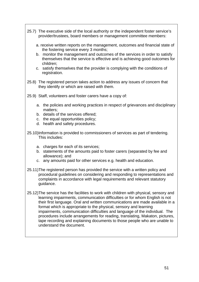- 25.7) The executive side of the local authority or the independent foster service's provider/trustees, board members or management committee members:
	- a. receive written reports on the management, outcomes and financial state of the fostering service every 3 months;
	- b. monitor the management and outcomes of the services in order to satisfy themselves that the service is effective and is achieving good outcomes for children;
	- c. satisfy themselves that the provider is complying with the conditions of registration.
- 25.8) The registered person takes action to address any issues of concern that they identify or which are raised with them.
- 25.9) Staff, volunteers and foster carers have a copy of:
	- a. the policies and working practices in respect of grievances and disciplinary matters;
	- b. details of the services offered;
	- c. the equal opportunities policy;
	- d. health and safety procedures.
- 25.10)Information is provided to commissioners of services as part of tendering. This includes:
	- a. charges for each of its services;
	- b. statements of the amounts paid to foster carers (separated by fee and allowance); and
	- c. any amounts paid for other services e.g. health and education.
- 25.11)The registered person has provided the service with a written policy and procedural guidelines on considering and responding to representations and complaints in accordance with legal requirements and relevant statutory guidance.
- 25.12)The service has the facilities to work with children with physical, sensory and learning impairments, communication difficulties or for whom English is not their first language. Oral and written communications are made available in a format which is appropriate to the physical, sensory and learning impairments, communication difficulties and language of the individual. The procedures include arrangements for reading, translating, Makaton, pictures, tape recording and explaining documents to those people who are unable to understand the document.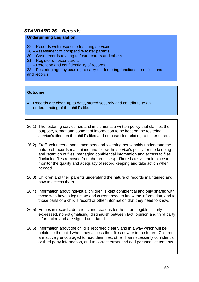# <span id="page-51-0"></span>*STANDARD 26 – Records*

#### **Underpinning Legislation:**

- 22 Records with respect to fostering services
- 26 Assessment of prospective foster parents
- 30 Case records relating to foster carers and others
- 31 Register of foster carers
- 32 Retention and confidentiality of records

33 – Fostering agency ceasing to carry out fostering functions – notifications and records

- Records are clear, up to date, stored securely and contribute to an understanding of the child's life.
- 26.1) The fostering service has and implements a written policy that clarifies the purpose, format and content of information to be kept on the fostering service's files, on the child's files and on case files relating to foster carers.
- 26.2) Staff, volunteers, panel members and fostering households understand the nature of records maintained and follow the service's policy for the keeping and retention of files, managing confidential information and access to files (including files removed from the premises). There is a system in place to monitor the quality and adequacy of record keeping and take action when needed.
- 26.3) Children and their parents understand the nature of records maintained and how to access them.
- 26.4) Information about individual children is kept confidential and only shared with those who have a legitimate and current need to know the information, and to those parts of a child's record or other information that they need to know.
- 26.5) Entries in records, decisions and reasons for them, are legible, clearly expressed, non-stigmatising, distinguish between fact, opinion and third party information and are signed and dated.
- 26.6) Information about the child is recorded clearly and in a way which will be helpful to the child when they access their files now or in the future. Children are actively encouraged to read their files, other than necessarily confidential or third party information, and to correct errors and add personal statements.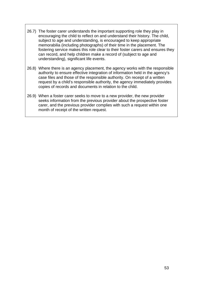- 26.7) The foster carer understands the important supporting role they play in encouraging the child to reflect on and understand their history. The child, subject to age and understanding, is encouraged to keep appropriate memorabilia (including photographs) of their time in the placement. The fostering service makes this role clear to their foster carers and ensures they can record, and help children make a record of (subject to age and understanding), significant life events.
- 26.8) Where there is an agency placement, the agency works with the responsible authority to ensure effective integration of information held in the agency's case files and those of the responsible authority. On receipt of a written request by a child's responsible authority, the agency immediately provides copies of records and documents in relation to the child.
- 26.9) When a foster carer seeks to move to a new provider, the new provider seeks information from the previous provider about the prospective foster carer, and the previous provider complies with such a request within one month of receipt of the written request.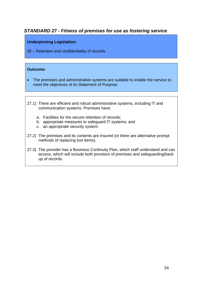# <span id="page-53-0"></span>*STANDARD 27 - Fitness of premises for use as fostering service*

#### **Underpinning Legislation:**

32 – Retention and confidentiality of records

- The premises and administrative systems are suitable to enable the service to meet the objectives of its Statement of Purpose.
- 27.1) There are efficient and robust administrative systems, including IT and communication systems. Premises have:
	- a. Facilities for the secure retention of records;
	- b. appropriate measures to safeguard IT systems; and
	- c. an appropriate security system.
- 27.2) The premises and its contents are insured (or there are alternative prompt methods of replacing lost items).
- 27.3) The provider has a Business Continuity Plan, which staff understand and can access, which will include both provision of premises and safeguarding/back up of records.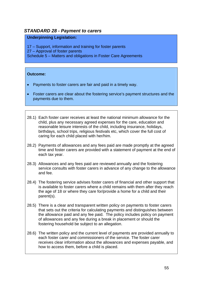## <span id="page-54-0"></span>*STANDARD 28 - Payment to carers*

#### **Underpinning Legislation:**

17 – Support, information and training for foster parents 27 – Approval of foster parents Schedule 5 – Matters and obligations in Foster Care Agreements

- Payments to foster carers are fair and paid in a timely way.
- Foster carers are clear about the fostering service's payment structures and the payments due to them.
- 28.1) Each foster carer receives at least the national minimum allowance for the child, plus any necessary agreed expenses for the care, education and reasonable leisure interests of the child, including insurance, holidays, birthdays, school trips, religious festivals etc, which cover the full cost of caring for each child placed with her/him.
- 28.2) Payments of allowances and any fees paid are made promptly at the agreed time and foster carers are provided with a statement of payment at the end of each tax year.
- 28.3) Allowances and any fees paid are reviewed annually and the fostering service consults with foster carers in advance of any change to the allowance and fee.
- 28.4) The fostering service advises foster carers of financial and other support that is available to foster carers where a child remains with them after they reach the age of 18 or where they care for/provide a home for a child and their parent(s).
- 28.5) There is a clear and transparent written policy on payments to foster carers that sets out the criteria for calculating payments and distinguishes between the allowance paid and any fee paid. The policy includes policy on payment of allowances and any fee during a break in placement or should the fostering household be subject to an allegation.
- 28.6) The written policy and the current level of payments are provided annually to each foster carer and commissioners of the service. The foster carer receives clear information about the allowances and expenses payable, and how to access them, before a child is placed.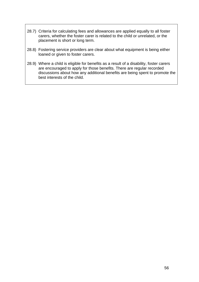- 28.7) Criteria for calculating fees and allowances are applied equally to all foster carers, whether the foster carer is related to the child or unrelated, or the placement is short or long term.
- 28.8) Fostering service providers are clear about what equipment is being either loaned or given to foster carers.
- 28.9) Where a child is eligible for benefits as a result of a disability, foster carers are encouraged to apply for those benefits. There are regular recorded discussions about how any additional benefits are being spent to promote the best interests of the child.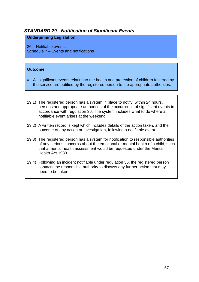# <span id="page-56-0"></span>*STANDARD 29 - Notification of Significant Events*

#### **Underpinning Legislation:**

36 – Notifiable events Schedule 7 – Events and notifications

- All significant events relating to the health and protection of children fostered by the service are notified by the registered person to the appropriate authorities.
- 29.1) The registered person has a system in place to notify, within 24 hours, persons and appropriate authorities of the occurrence of significant events in accordance with regulation 36. The system includes what to do where a notifiable event arises at the weekend.
- 29.2) A written record is kept which includes details of the action taken, and the outcome of any action or investigation, following a notifiable event.
- 29.3) The registered person has a system for notification to responsible authorities of any serious concerns about the emotional or mental health of a child, such that a mental health assessment would be requested under the Mental Health Act 1983.
- 29.4) Following an incident notifiable under regulation 36, the registered person contacts the responsible authority to discuss any further action that may need to be taken.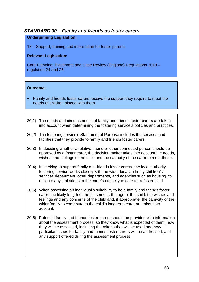# <span id="page-57-0"></span>*STANDARD 30 – Family and friends as foster carers*

#### **Underpinning Legislation:**

17 – Support, training and information for foster parents

#### **Relevant Legislation:**

Care Planning, Placement and Case Review (England) Regulations 2010 – regulation 24 and 25

- Family and friends foster carers receive the support they require to meet the needs of children placed with them.
- 30.1) The needs and circumstances of family and friends foster carers are taken into account when determining the fostering service's policies and practices.
- 30.2) The fostering service's Statement of Purpose includes the services and facilities that they provide to family and friends foster carers.
- 30.3) In deciding whether a relative, friend or other connected person should be approved as a foster carer, the decision maker takes into account the needs, wishes and feelings of the child and the capacity of the carer to meet these.
- 30.4) In seeking to support family and friends foster carers, the local authority fostering service works closely with the wider local authority children's services department, other departments, and agencies such as housing, to mitigate any limitations to the carer's capacity to care for a foster child.
- 30.5) When assessing an individual's suitability to be a family and friends foster carer, the likely length of the placement, the age of the child, the wishes and feelings and any concerns of the child and, if appropriate, the capacity of the wider family to contribute to the child's long term care, are taken into account.
- 30.6) Potential family and friends foster carers should be provided with information about the assessment process, so they know what is expected of them, how they will be assessed, including the criteria that will be used and how particular issues for family and friends foster carers will be addressed, and any support offered during the assessment process.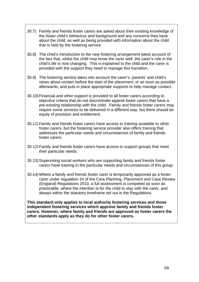- 30.7) Family and friends foster carers are asked about their existing knowledge of the foster child's behaviour and background and any concerns they have about the child, as well as being provided with information about the child that is held by the fostering service.
- 30.8) The child's introduction to the new fostering arrangement takes account of the fact that, whilst the child may know the carer well, the carer's role in the child's life is now changing. This is explained to the child and the carer is provided with the support they need to manage this transition.
- 30.9) The fostering service takes into account the carer's, parents' and child's views about contact before the start of the placement, or as soon as possible afterwards, and puts in place appropriate supports to help manage contact.
- 30.10) Financial and other support is provided to all foster carers according to objective criteria that do not discriminate against foster carers that have a pre-existing relationship with the child. Family and friends foster carers may require some services to be delivered in a different way, but there should be equity of provision and entitlement.
- 30.11) Family and friends foster carers have access to training available to other foster carers, but the fostering service provider also offers training that addresses the particular needs and circumstances of family and friends foster carers.
- 30.12) Family and friends foster carers have access to support groups that meet their particular needs.
- 30.13) Supervising social workers who are supporting family and friends foster carers have training in the particular needs and circumstances of this group.
- 30.14) Where a family and friends foster carer is temporarily approved as a foster carer under regulation 24 of the Care Planning, Placement and Case Review (England) Regulations 2010, a full assessment is competed as soon as practicable, where the intention is for the child to stay with the carer, and always within the statutory timeframe set out in the Regulations.

**This standard only applies to local authority fostering services and those independent fostering services which approve family and friends foster carers. However, where family and friends are approved as foster carers the other standards apply as they do for other foster carers.**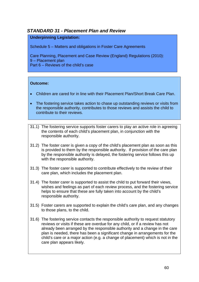# <span id="page-59-0"></span>*STANDARD 31 - Placement Plan and Review*

#### **Underpinning Legislation:**

Schedule 5 – Matters and obligations in Foster Care Agreements

Care Planning, Placement and Case Review (England) Regulations (2010): 9 – Placement plan Part 6 – Reviews of the child's case

- Children are cared for in line with their Placement Plan/Short Break Care Plan.
- The fostering service takes action to chase up outstanding reviews or visits from the responsible authority, contributes to those reviews and assists the child to contribute to their reviews.
- 31.1) The fostering service supports foster carers to play an active role in agreeing the contents of each child's placement plan, in conjunction with the responsible authority.
- 31.2) The foster carer is given a copy of the child's placement plan as soon as this is provided to them by the responsible authority. If provision of the care plan by the responsible authority is delayed, the fostering service follows this up with the responsible authority.
- 31.3) The foster carer is supported to contribute effectively to the review of their care plan, which includes the placement plan.
- 31.4) The foster carer is supported to assist the child to put forward their views, wishes and feelings as part of each review process, and the fostering service helps to ensure that these are fully taken into account by the child's responsible authority.
- 31.5) Foster carers are supported to explain the child's care plan, and any changes to those plans, to the child.
- 31.6) The fostering service contacts the responsible authority to request statutory reviews or visits if these are overdue for any child, or if a review has not already been arranged by the responsible authority and a change in the care plan is needed, there has been a significant change in arrangements for the child's care or a major action (e.g. a change of placement) which is not in the care plan appears likely.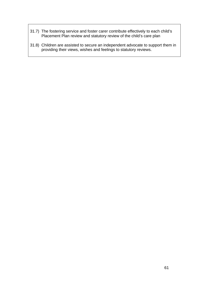- 31.7) The fostering service and foster carer contribute effectively to each child's Placement Plan review and statutory review of the child's care plan
- 31.8) Children are assisted to secure an independent advocate to support them in providing their views, wishes and feelings to statutory reviews.